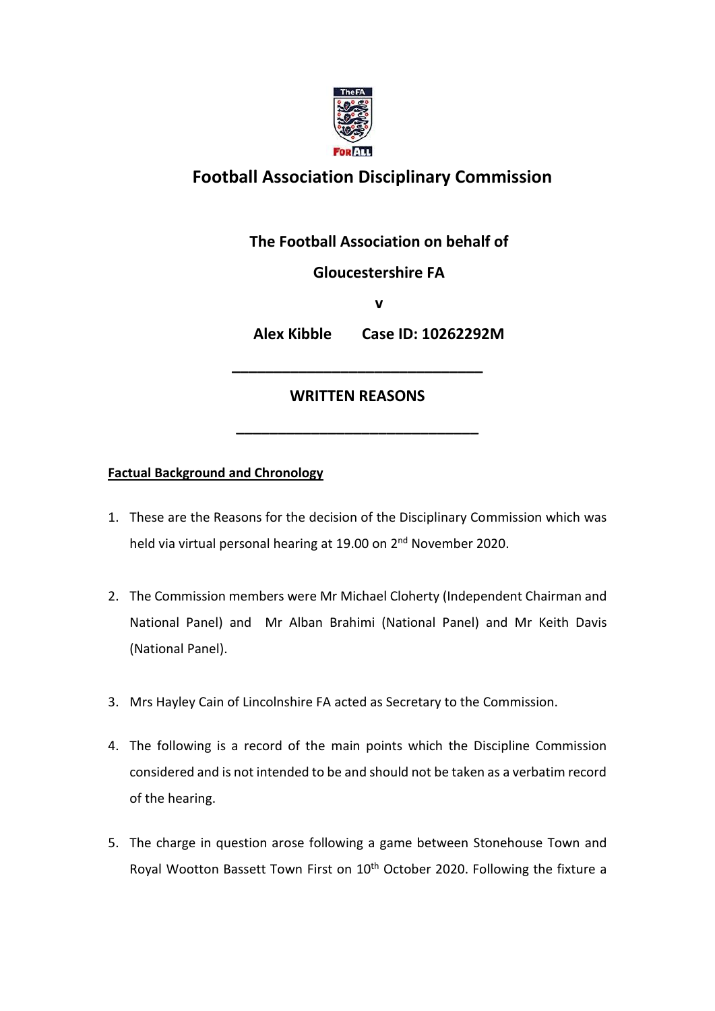

# **Football Association Disciplinary Commission**

**The Football Association on behalf of**

# **Gloucestershire FA**

**v**

**Alex Kibble Case ID: 10262292M**

# **WRITTEN REASONS**

**\_\_\_\_\_\_\_\_\_\_\_\_\_\_\_\_\_\_\_\_\_\_\_\_\_\_\_\_\_**

**\_\_\_\_\_\_\_\_\_\_\_\_\_\_\_\_\_\_\_\_\_\_\_\_\_\_\_\_\_\_**

## **Factual Background and Chronology**

- 1. These are the Reasons for the decision of the Disciplinary Commission which was held via virtual personal hearing at 19.00 on 2<sup>nd</sup> November 2020.
- 2. The Commission members were Mr Michael Cloherty (Independent Chairman and National Panel) and Mr Alban Brahimi (National Panel) and Mr Keith Davis (National Panel).
- 3. Mrs Hayley Cain of Lincolnshire FA acted as Secretary to the Commission.
- 4. The following is a record of the main points which the Discipline Commission considered and is not intended to be and should not be taken as a verbatim record of the hearing.
- 5. The charge in question arose following a game between Stonehouse Town and Royal Wootton Bassett Town First on 10<sup>th</sup> October 2020. Following the fixture a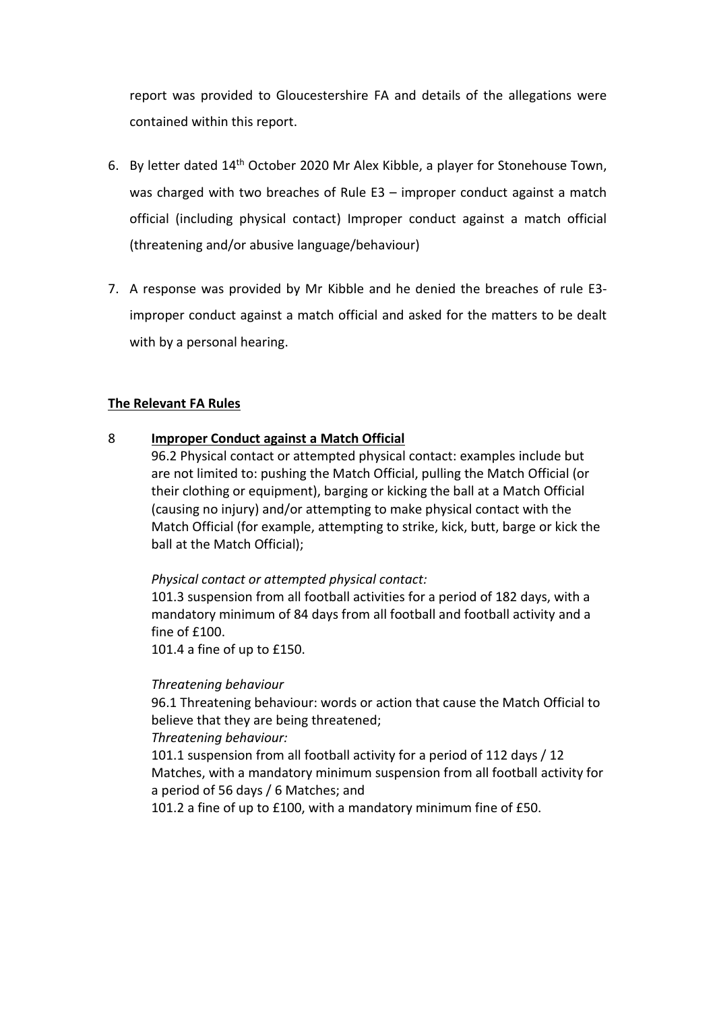report was provided to Gloucestershire FA and details of the allegations were contained within this report.

- 6. By letter dated 14th October 2020 Mr Alex Kibble, a player for Stonehouse Town, was charged with two breaches of Rule E3 – improper conduct against a match official (including physical contact) Improper conduct against a match official (threatening and/or abusive language/behaviour)
- 7. A response was provided by Mr Kibble and he denied the breaches of rule E3 improper conduct against a match official and asked for the matters to be dealt with by a personal hearing.

### **The Relevant FA Rules**

### 8 **Improper Conduct against a Match Official**

96.2 Physical contact or attempted physical contact: examples include but are not limited to: pushing the Match Official, pulling the Match Official (or their clothing or equipment), barging or kicking the ball at a Match Official (causing no injury) and/or attempting to make physical contact with the Match Official (for example, attempting to strike, kick, butt, barge or kick the ball at the Match Official);

#### *Physical contact or attempted physical contact:*

101.3 suspension from all football activities for a period of 182 days, with a mandatory minimum of 84 days from all football and football activity and a fine of £100.

101.4 a fine of up to £150.

#### *Threatening behaviour*

96.1 Threatening behaviour: words or action that cause the Match Official to believe that they are being threatened;

#### *Threatening behaviour:*

101.1 suspension from all football activity for a period of 112 days / 12 Matches, with a mandatory minimum suspension from all football activity for a period of 56 days / 6 Matches; and

101.2 a fine of up to £100, with a mandatory minimum fine of £50.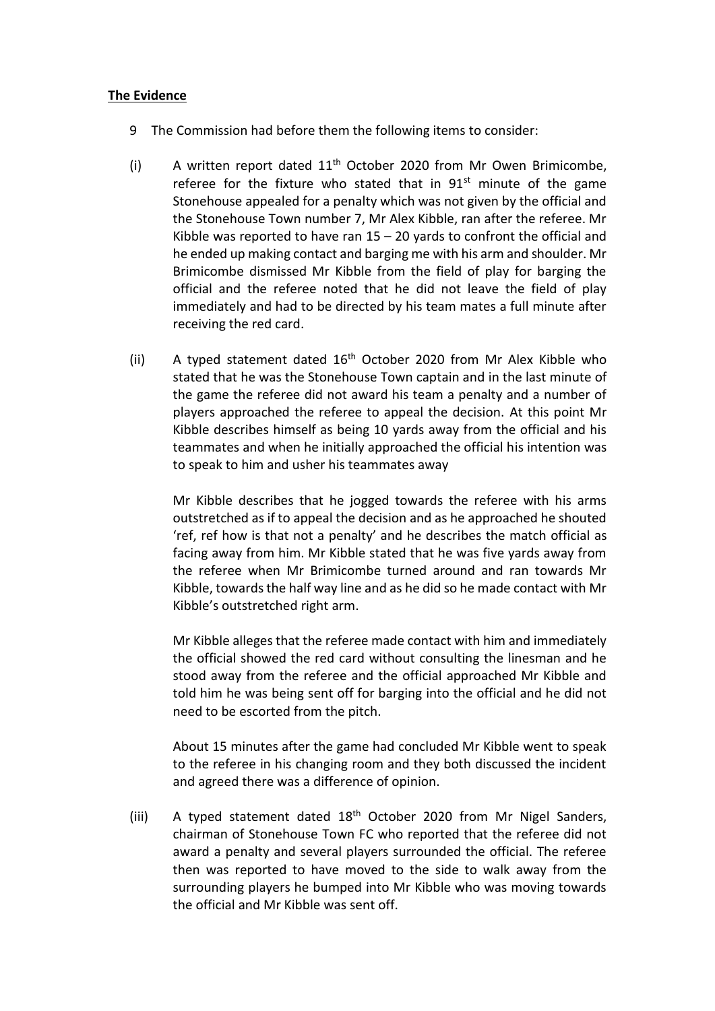#### **The Evidence**

- 9 The Commission had before them the following items to consider:
- (i) A written report dated  $11<sup>th</sup>$  October 2020 from Mr Owen Brimicombe, referee for the fixture who stated that in  $91<sup>st</sup>$  minute of the game Stonehouse appealed for a penalty which was not given by the official and the Stonehouse Town number 7, Mr Alex Kibble, ran after the referee. Mr Kibble was reported to have ran  $15 - 20$  yards to confront the official and he ended up making contact and barging me with his arm and shoulder. Mr Brimicombe dismissed Mr Kibble from the field of play for barging the official and the referee noted that he did not leave the field of play immediately and had to be directed by his team mates a full minute after receiving the red card.
- (ii) A typed statement dated  $16<sup>th</sup>$  October 2020 from Mr Alex Kibble who stated that he was the Stonehouse Town captain and in the last minute of the game the referee did not award his team a penalty and a number of players approached the referee to appeal the decision. At this point Mr Kibble describes himself as being 10 yards away from the official and his teammates and when he initially approached the official his intention was to speak to him and usher his teammates away

Mr Kibble describes that he jogged towards the referee with his arms outstretched as if to appeal the decision and as he approached he shouted 'ref, ref how is that not a penalty' and he describes the match official as facing away from him. Mr Kibble stated that he was five yards away from the referee when Mr Brimicombe turned around and ran towards Mr Kibble, towards the half way line and as he did so he made contact with Mr Kibble's outstretched right arm.

Mr Kibble alleges that the referee made contact with him and immediately the official showed the red card without consulting the linesman and he stood away from the referee and the official approached Mr Kibble and told him he was being sent off for barging into the official and he did not need to be escorted from the pitch.

About 15 minutes after the game had concluded Mr Kibble went to speak to the referee in his changing room and they both discussed the incident and agreed there was a difference of opinion.

(iii) A typed statement dated 18<sup>th</sup> October 2020 from Mr Nigel Sanders, chairman of Stonehouse Town FC who reported that the referee did not award a penalty and several players surrounded the official. The referee then was reported to have moved to the side to walk away from the surrounding players he bumped into Mr Kibble who was moving towards the official and Mr Kibble was sent off.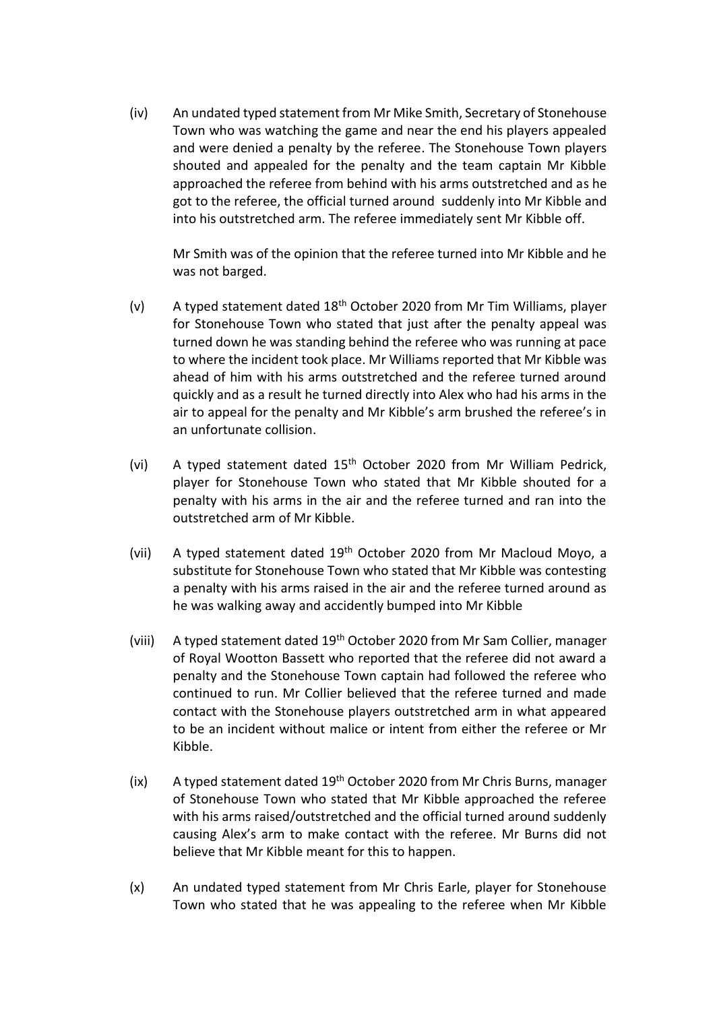(iv) An undated typed statement from Mr Mike Smith, Secretary of Stonehouse Town who was watching the game and near the end his players appealed and were denied a penalty by the referee. The Stonehouse Town players shouted and appealed for the penalty and the team captain Mr Kibble approached the referee from behind with his arms outstretched and as he got to the referee, the official turned around suddenly into Mr Kibble and into his outstretched arm. The referee immediately sent Mr Kibble off.

Mr Smith was of the opinion that the referee turned into Mr Kibble and he was not barged.

- (v) A typed statement dated 18<sup>th</sup> October 2020 from Mr Tim Williams, player for Stonehouse Town who stated that just after the penalty appeal was turned down he was standing behind the referee who was running at pace to where the incident took place. Mr Williams reported that Mr Kibble was ahead of him with his arms outstretched and the referee turned around quickly and as a result he turned directly into Alex who had his arms in the air to appeal for the penalty and Mr Kibble's arm brushed the referee's in an unfortunate collision.
- (vi) A typed statement dated 15<sup>th</sup> October 2020 from Mr William Pedrick, player for Stonehouse Town who stated that Mr Kibble shouted for a penalty with his arms in the air and the referee turned and ran into the outstretched arm of Mr Kibble.
- (vii) A typed statement dated 19<sup>th</sup> October 2020 from Mr Macloud Moyo, a substitute for Stonehouse Town who stated that Mr Kibble was contesting a penalty with his arms raised in the air and the referee turned around as he was walking away and accidently bumped into Mr Kibble
- (viii) A typed statement dated 19<sup>th</sup> October 2020 from Mr Sam Collier, manager of Royal Wootton Bassett who reported that the referee did not award a penalty and the Stonehouse Town captain had followed the referee who continued to run. Mr Collier believed that the referee turned and made contact with the Stonehouse players outstretched arm in what appeared to be an incident without malice or intent from either the referee or Mr Kibble.
- (ix) A typed statement dated 19<sup>th</sup> October 2020 from Mr Chris Burns, manager of Stonehouse Town who stated that Mr Kibble approached the referee with his arms raised/outstretched and the official turned around suddenly causing Alex's arm to make contact with the referee. Mr Burns did not believe that Mr Kibble meant for this to happen.
- (x) An undated typed statement from Mr Chris Earle, player for Stonehouse Town who stated that he was appealing to the referee when Mr Kibble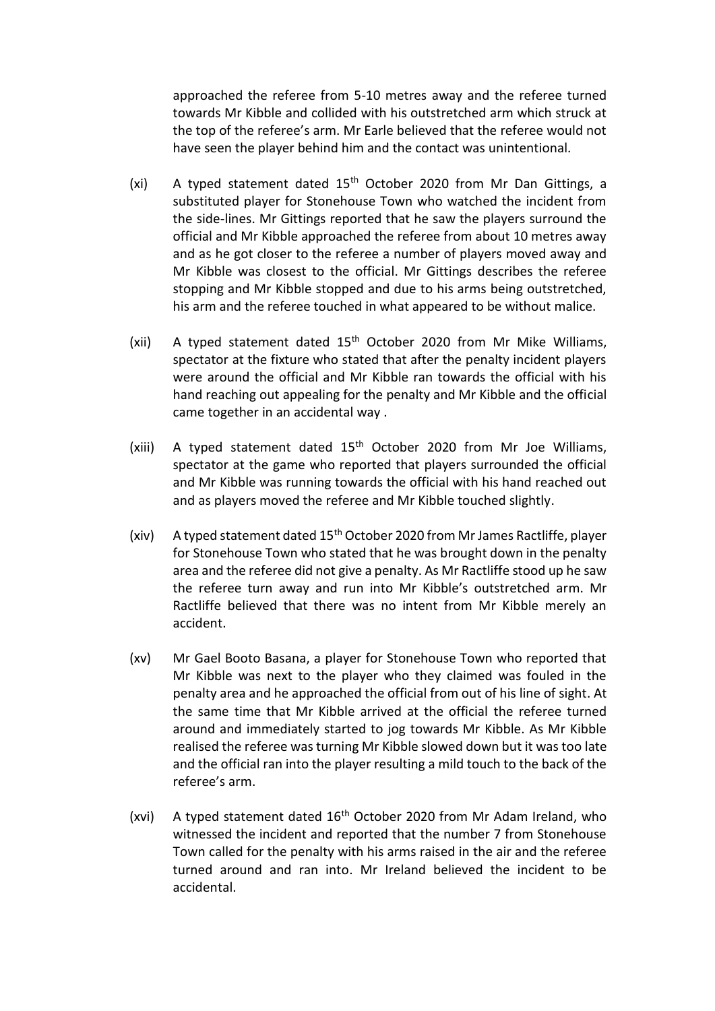approached the referee from 5-10 metres away and the referee turned towards Mr Kibble and collided with his outstretched arm which struck at the top of the referee's arm. Mr Earle believed that the referee would not have seen the player behind him and the contact was unintentional.

- (xi) A typed statement dated  $15<sup>th</sup>$  October 2020 from Mr Dan Gittings, a substituted player for Stonehouse Town who watched the incident from the side-lines. Mr Gittings reported that he saw the players surround the official and Mr Kibble approached the referee from about 10 metres away and as he got closer to the referee a number of players moved away and Mr Kibble was closest to the official. Mr Gittings describes the referee stopping and Mr Kibble stopped and due to his arms being outstretched, his arm and the referee touched in what appeared to be without malice.
- (xii) A typed statement dated  $15<sup>th</sup>$  October 2020 from Mr Mike Williams, spectator at the fixture who stated that after the penalty incident players were around the official and Mr Kibble ran towards the official with his hand reaching out appealing for the penalty and Mr Kibble and the official came together in an accidental way .
- (xiii) A typed statement dated  $15<sup>th</sup>$  October 2020 from Mr Joe Williams, spectator at the game who reported that players surrounded the official and Mr Kibble was running towards the official with his hand reached out and as players moved the referee and Mr Kibble touched slightly.
- (xiv) A typed statement dated  $15<sup>th</sup>$  October 2020 from Mr James Ractliffe, player for Stonehouse Town who stated that he was brought down in the penalty area and the referee did not give a penalty. As Mr Ractliffe stood up he saw the referee turn away and run into Mr Kibble's outstretched arm. Mr Ractliffe believed that there was no intent from Mr Kibble merely an accident.
- (xv) Mr Gael Booto Basana, a player for Stonehouse Town who reported that Mr Kibble was next to the player who they claimed was fouled in the penalty area and he approached the official from out of his line of sight. At the same time that Mr Kibble arrived at the official the referee turned around and immediately started to jog towards Mr Kibble. As Mr Kibble realised the referee was turning Mr Kibble slowed down but it was too late and the official ran into the player resulting a mild touch to the back of the referee's arm.
- (xvi) A typed statement dated  $16<sup>th</sup>$  October 2020 from Mr Adam Ireland, who witnessed the incident and reported that the number 7 from Stonehouse Town called for the penalty with his arms raised in the air and the referee turned around and ran into. Mr Ireland believed the incident to be accidental.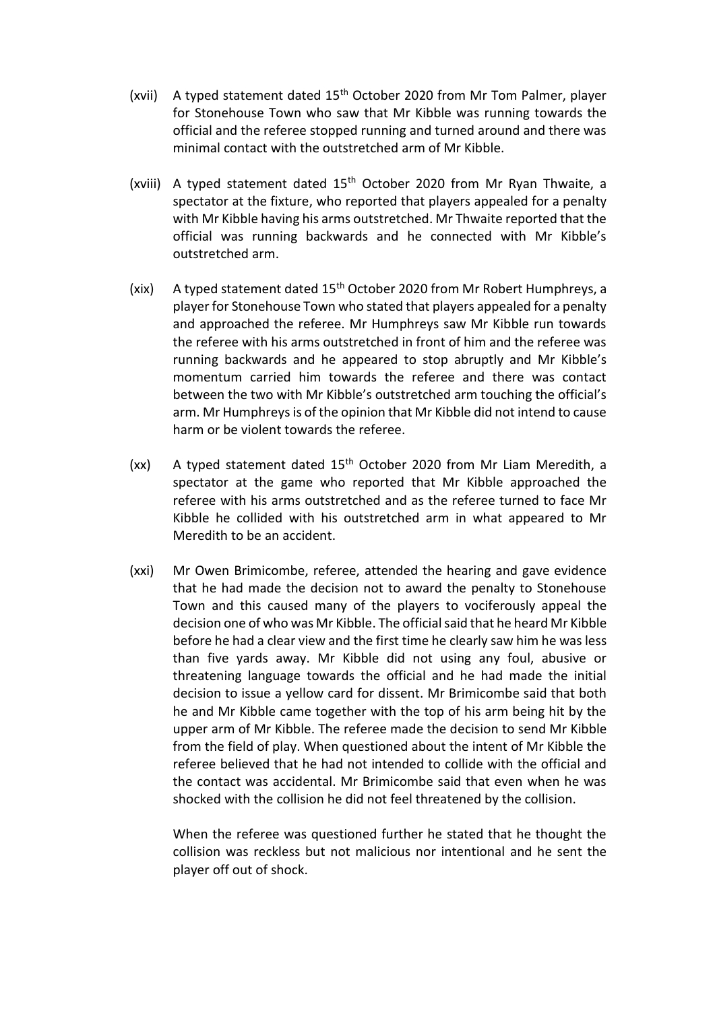- (xvii) A typed statement dated  $15<sup>th</sup>$  October 2020 from Mr Tom Palmer, player for Stonehouse Town who saw that Mr Kibble was running towards the official and the referee stopped running and turned around and there was minimal contact with the outstretched arm of Mr Kibble.
- (xviii) A typed statement dated  $15<sup>th</sup>$  October 2020 from Mr Ryan Thwaite, a spectator at the fixture, who reported that players appealed for a penalty with Mr Kibble having his arms outstretched. Mr Thwaite reported that the official was running backwards and he connected with Mr Kibble's outstretched arm.
- (xix) A typed statement dated 15<sup>th</sup> October 2020 from Mr Robert Humphreys, a player for Stonehouse Town who stated that players appealed for a penalty and approached the referee. Mr Humphreys saw Mr Kibble run towards the referee with his arms outstretched in front of him and the referee was running backwards and he appeared to stop abruptly and Mr Kibble's momentum carried him towards the referee and there was contact between the two with Mr Kibble's outstretched arm touching the official's arm. Mr Humphreys is of the opinion that Mr Kibble did not intend to cause harm or be violent towards the referee.
- (xx) A typed statement dated  $15<sup>th</sup>$  October 2020 from Mr Liam Meredith, a spectator at the game who reported that Mr Kibble approached the referee with his arms outstretched and as the referee turned to face Mr Kibble he collided with his outstretched arm in what appeared to Mr Meredith to be an accident.
- (xxi) Mr Owen Brimicombe, referee, attended the hearing and gave evidence that he had made the decision not to award the penalty to Stonehouse Town and this caused many of the players to vociferously appeal the decision one of who was Mr Kibble. The official said that he heard Mr Kibble before he had a clear view and the first time he clearly saw him he was less than five yards away. Mr Kibble did not using any foul, abusive or threatening language towards the official and he had made the initial decision to issue a yellow card for dissent. Mr Brimicombe said that both he and Mr Kibble came together with the top of his arm being hit by the upper arm of Mr Kibble. The referee made the decision to send Mr Kibble from the field of play. When questioned about the intent of Mr Kibble the referee believed that he had not intended to collide with the official and the contact was accidental. Mr Brimicombe said that even when he was shocked with the collision he did not feel threatened by the collision.

When the referee was questioned further he stated that he thought the collision was reckless but not malicious nor intentional and he sent the player off out of shock.